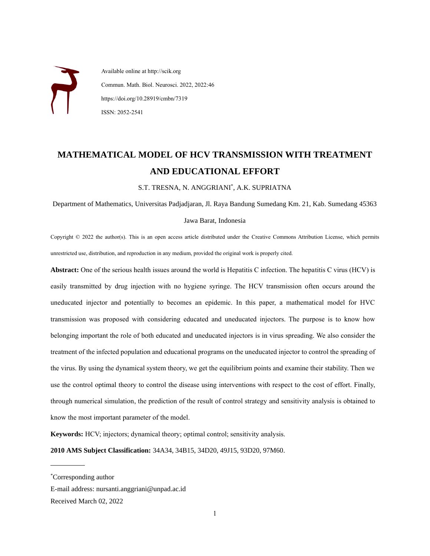Available online at http://scik.org Commun. Math. Biol. Neurosci. 2022, 2022:46 https://doi.org/10.28919/cmbn/7319 ISSN: 2052-2541

# **MATHEMATICAL MODEL OF HCV TRANSMISSION WITH TREATMENT AND EDUCATIONAL EFFORT**

S.T. TRESNA, N. ANGGRIANI\* , A.K. SUPRIATNA

Department of Mathematics, Universitas Padjadjaran, Jl. Raya Bandung Sumedang Km. 21, Kab. Sumedang 45363

#### Jawa Barat, Indonesia

Copyright © 2022 the author(s). This is an open access article distributed under the Creative Commons Attribution License, which permits unrestricted use, distribution, and reproduction in any medium, provided the original work is properly cited.

**Abstract:** One of the serious health issues around the world is Hepatitis C infection. The hepatitis C virus (HCV) is easily transmitted by drug injection with no hygiene syringe. The HCV transmission often occurs around the uneducated injector and potentially to becomes an epidemic. In this paper, a mathematical model for HVC transmission was proposed with considering educated and uneducated injectors. The purpose is to know how belonging important the role of both educated and uneducated injectors is in virus spreading. We also consider the treatment of the infected population and educational programs on the uneducated injector to control the spreading of the virus. By using the dynamical system theory, we get the equilibrium points and examine their stability. Then we use the control optimal theory to control the disease using interventions with respect to the cost of effort. Finally, through numerical simulation, the prediction of the result of control strategy and sensitivity analysis is obtained to know the most important parameter of the model.

**Keywords:** HCV; injectors; dynamical theory; optimal control; sensitivity analysis.

**2010 AMS Subject Classification:** 34A34, 34B15, 34D20, 49J15, 93D20, 97M60.

 $\overline{a}$ 

<sup>\*</sup>Corresponding author

E-mail address: nursanti.anggriani@unpad.ac.id

Received March 02, 2022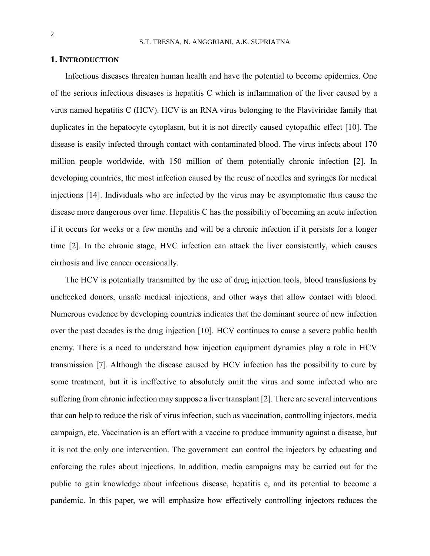### **1. INTRODUCTION**

Infectious diseases threaten human health and have the potential to become epidemics. One of the serious infectious diseases is hepatitis C which is inflammation of the liver caused by a virus named hepatitis C (HCV). HCV is an RNA virus belonging to the Flaviviridae family that duplicates in the hepatocyte cytoplasm, but it is not directly caused cytopathic effect [10]. The disease is easily infected through contact with contaminated blood. The virus infects about 170 million people worldwide, with 150 million of them potentially chronic infection [2]. In developing countries, the most infection caused by the reuse of needles and syringes for medical injections [14]. Individuals who are infected by the virus may be asymptomatic thus cause the disease more dangerous over time. Hepatitis C has the possibility of becoming an acute infection if it occurs for weeks or a few months and will be a chronic infection if it persists for a longer time [2]. In the chronic stage, HVC infection can attack the liver consistently, which causes cirrhosis and live cancer occasionally.

The HCV is potentially transmitted by the use of drug injection tools, blood transfusions by unchecked donors, unsafe medical injections, and other ways that allow contact with blood. Numerous evidence by developing countries indicates that the dominant source of new infection over the past decades is the drug injection [10]. HCV continues to cause a severe public health enemy. There is a need to understand how injection equipment dynamics play a role in HCV transmission [7]. Although the disease caused by HCV infection has the possibility to cure by some treatment, but it is ineffective to absolutely omit the virus and some infected who are suffering from chronic infection may suppose a liver transplant [2]. There are several interventions that can help to reduce the risk of virus infection, such as vaccination, controlling injectors, media campaign, etc. Vaccination is an effort with a vaccine to produce immunity against a disease, but it is not the only one intervention. The government can control the injectors by educating and enforcing the rules about injections. In addition, media campaigns may be carried out for the public to gain knowledge about infectious disease, hepatitis c, and its potential to become a pandemic. In this paper, we will emphasize how effectively controlling injectors reduces the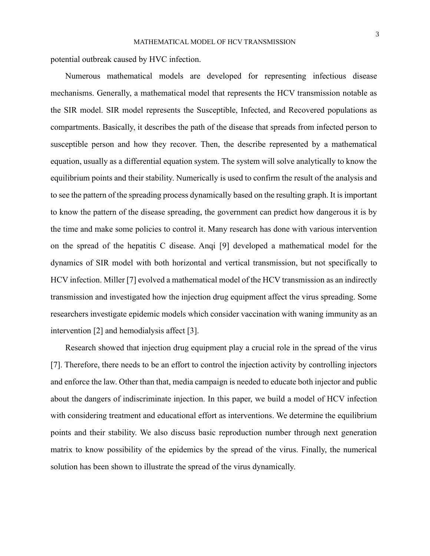potential outbreak caused by HVC infection.

Numerous mathematical models are developed for representing infectious disease mechanisms. Generally, a mathematical model that represents the HCV transmission notable as the SIR model. SIR model represents the Susceptible, Infected, and Recovered populations as compartments. Basically, it describes the path of the disease that spreads from infected person to susceptible person and how they recover. Then, the describe represented by a mathematical equation, usually as a differential equation system. The system will solve analytically to know the equilibrium points and their stability. Numerically is used to confirm the result of the analysis and to see the pattern of the spreading process dynamically based on the resulting graph. It is important to know the pattern of the disease spreading, the government can predict how dangerous it is by the time and make some policies to control it. Many research has done with various intervention on the spread of the hepatitis C disease. Anqi [9] developed a mathematical model for the dynamics of SIR model with both horizontal and vertical transmission, but not specifically to HCV infection. Miller [7] evolved a mathematical model of the HCV transmission as an indirectly transmission and investigated how the injection drug equipment affect the virus spreading. Some researchers investigate epidemic models which consider vaccination with waning immunity as an intervention [2] and hemodialysis affect [3].

Research showed that injection drug equipment play a crucial role in the spread of the virus [7]. Therefore, there needs to be an effort to control the injection activity by controlling injectors and enforce the law. Other than that, media campaign is needed to educate both injector and public about the dangers of indiscriminate injection. In this paper, we build a model of HCV infection with considering treatment and educational effort as interventions. We determine the equilibrium points and their stability. We also discuss basic reproduction number through next generation matrix to know possibility of the epidemics by the spread of the virus. Finally, the numerical solution has been shown to illustrate the spread of the virus dynamically.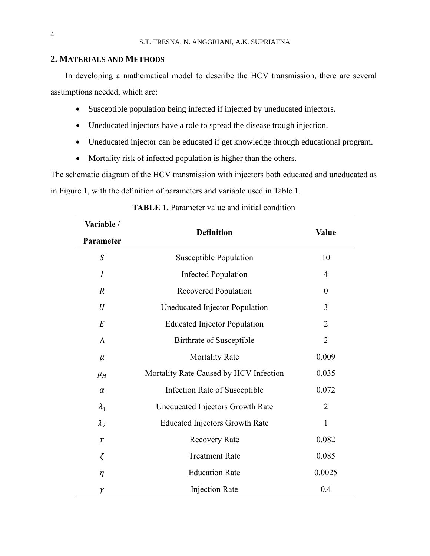## **2. MATERIALS AND METHODS**

In developing a mathematical model to describe the HCV transmission, there are several assumptions needed, which are:

- Susceptible population being infected if injected by uneducated injectors.
- Uneducated injectors have a role to spread the disease trough injection.
- Uneducated injector can be educated if get knowledge through educational program.
- Mortality risk of infected population is higher than the others.

The schematic diagram of the HCV transmission with injectors both educated and uneducated as in Figure 1, with the definition of parameters and variable used in Table 1.

| Variable /       | <b>Definition</b>                      | <b>Value</b>     |
|------------------|----------------------------------------|------------------|
| Parameter        |                                        |                  |
| $\mathcal{S}$    | Susceptible Population                 | 10               |
| $\boldsymbol{I}$ | <b>Infected Population</b>             | $\overline{4}$   |
| $\boldsymbol{R}$ | Recovered Population                   | $\boldsymbol{0}$ |
| U                | Uneducated Injector Population         | 3                |
| $\cal E$         | <b>Educated Injector Population</b>    | $\overline{2}$   |
| Λ                | Birthrate of Susceptible               | $\overline{2}$   |
| $\mu$            | <b>Mortality Rate</b>                  | 0.009            |
| $\mu_H$          | Mortality Rate Caused by HCV Infection | 0.035            |
| $\alpha$         | Infection Rate of Susceptible          | 0.072            |
| $\lambda_1$      | Uneducated Injectors Growth Rate       | $\overline{2}$   |
| $\lambda_2$      | <b>Educated Injectors Growth Rate</b>  | $\mathbf{1}$     |
| $\boldsymbol{r}$ | <b>Recovery Rate</b>                   | 0.082            |
| ζ                | <b>Treatment Rate</b>                  | 0.085            |
| $\eta$           | <b>Education Rate</b>                  | 0.0025           |
| γ                | <b>Injection Rate</b>                  | 0.4              |

# **TABLE 1.** Parameter value and initial condition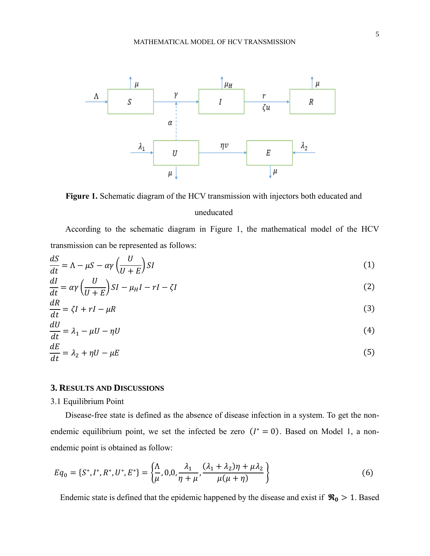

**Figure 1.** Schematic diagram of the HCV transmission with injectors both educated and uneducated

According to the schematic diagram in Figure 1, the mathematical model of the HCV transmission can be represented as follows:

$$
\frac{dS}{dt} = \Lambda - \mu S - \alpha \gamma \left(\frac{U}{U + E}\right) SI \tag{1}
$$

$$
\frac{dI}{dt} = \alpha \gamma \left(\frac{U}{U+E}\right) SI - \mu_H I - rI - \zeta I \tag{2}
$$

$$
\frac{dR}{dt} = \zeta I + rI - \mu R \tag{3}
$$

$$
\frac{dU}{dt} = \lambda_1 - \mu U - \eta U \tag{4}
$$

$$
\frac{dE}{dt} = \lambda_2 + \eta U - \mu E \tag{5}
$$

### **3. RESULTS AND DISCUSSIONS**

### 3.1 Equilibrium Point

Disease-free state is defined as the absence of disease infection in a system. To get the nonendemic equilibrium point, we set the infected be zero  $(I^* = 0)$ . Based on Model 1, a nonendemic point is obtained as follow:

$$
Eq_0 = \{S^*, I^*, R^*, U^*, E^*\} = \left\{\frac{\Lambda}{\mu}, 0, 0, \frac{\lambda_1}{\eta + \mu}, \frac{(\lambda_1 + \lambda_2)\eta + \mu\lambda_2}{\mu(\mu + \eta)}\right\}
$$
(6)

Endemic state is defined that the epidemic happened by the disease and exist if  $\Re_0 > 1$ . Based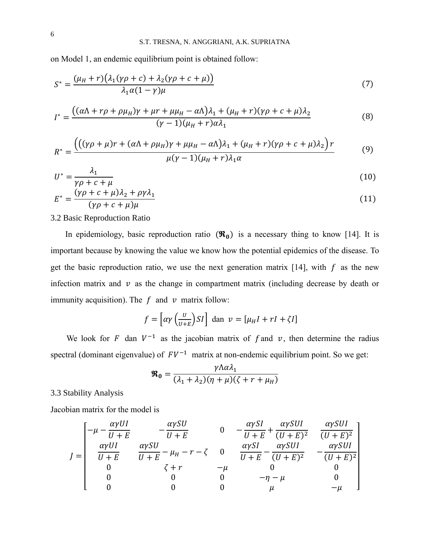on Model 1, an endemic equilibrium point is obtained follow:

$$
S^* = \frac{(\mu_H + r)(\lambda_1(\gamma \rho + c) + \lambda_2(\gamma \rho + c + \mu))}{\lambda_1 \alpha (1 - \gamma)\mu}
$$
\n(7)

$$
I^* = \frac{((\alpha \Lambda + r\rho + \rho \mu_H)\gamma + \mu r + \mu \mu_H - \alpha \Lambda)\lambda_1 + (\mu_H + r)(\gamma \rho + c + \mu)\lambda_2}{(\gamma - 1)(\mu_H + r)\alpha \lambda_1}
$$
(8)

$$
R^* = \frac{(((\gamma \rho + \mu)r + (\alpha \Lambda + \rho \mu_H)\gamma + \mu \mu_H - \alpha \Lambda)\lambda_1 + (\mu_H + r)(\gamma \rho + c + \mu)\lambda_2)r}{\mu(\gamma - 1)(\mu_H + r)\lambda_1 \alpha}
$$
(9)

$$
U^* = \frac{\lambda_1}{\gamma \rho + c + \mu} \tag{10}
$$
\n
$$
E^* = \frac{(\gamma \rho + c + \mu)\lambda_2 + \rho \gamma \lambda_1}{\gamma \rho + c + \mu} \tag{11}
$$

$$
E^* = \frac{(r\rho + c + \mu)x_2 + \rho\gamma x_1}{(\gamma\rho + c + \mu)\mu}
$$
\n(11)

# 3.2 Basic Reproduction Ratio

In epidemiology, basic reproduction ratio  $(\mathbf{R}_0)$  is a necessary thing to know [14]. It is important because by knowing the value we know how the potential epidemics of the disease. To get the basic reproduction ratio, we use the next generation matrix [14], with  $f$  as the new infection matrix and  $\nu$  as the change in compartment matrix (including decrease by death or immunity acquisition). The  $f$  and  $v$  matrix follow:

$$
f = \left[ \alpha \gamma \left( \frac{v}{v + E} \right) SI \right] \text{ dan } v = \left[ \mu_H I + rI + \zeta I \right]
$$

We look for F dan  $V^{-1}$  as the jacobian matrix of f and v, then determine the radius spectral (dominant eigenvalue) of  $FV^{-1}$  matrix at non-endemic equilibrium point. So we get:

$$
\mathbf{\mathfrak{R}}_0 = \frac{\gamma \Lambda \alpha \lambda_1}{(\lambda_1 + \lambda_2)(\eta + \mu)(\zeta + r + \mu_H)}
$$

# 3.3 Stability Analysis

Jacobian matrix for the model is

$$
J = \begin{bmatrix} -\mu - \frac{\alpha \gamma U I}{U + E} & -\frac{\alpha \gamma SU}{U + E} & 0 & -\frac{\alpha \gamma SI}{U + E} + \frac{\alpha \gamma SUI}{(U + E)^2} & \frac{\alpha \gamma SUI}{(U + E)^2} \\ \frac{\alpha \gamma U I}{U + E} & \frac{\alpha \gamma SU}{U + E} - \mu_H - r - \zeta & 0 & \frac{\alpha \gamma SI}{U + E} - \frac{\alpha \gamma SUI}{(U + E)^2} & -\frac{\alpha \gamma SUI}{(U + E)^2} \\ 0 & \zeta + r & -\mu & 0 & 0 \\ 0 & 0 & 0 & -\eta - \mu & 0 \\ 0 & 0 & 0 & \mu & -\mu \end{bmatrix}
$$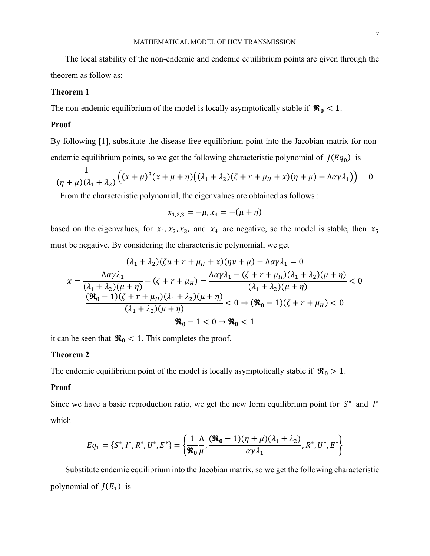The local stability of the non-endemic and endemic equilibrium points are given through the theorem as follow as:

### **Theorem 1**

The non-endemic equilibrium of the model is locally asymptotically stable if  $\mathcal{R}_0 < 1$ .

### **Proof**

By following [1], substitute the disease-free equilibrium point into the Jacobian matrix for nonendemic equilibrium points, so we get the following characteristic polynomial of  $J(Eq_0)$  is

$$
\frac{1}{(\eta+\mu)(\lambda_1+\lambda_2)}\Big((x+\mu)^3(x+\mu+\eta)\big((\lambda_1+\lambda_2)(\zeta+r+\mu_H+x)(\eta+\mu)-\Lambda\alpha\gamma\lambda_1\big)\Big)=0
$$

From the characteristic polynomial, the eigenvalues are obtained as follows :

$$
x_{1,2,3} = -\mu, x_4 = -(\mu + \eta)
$$

based on the eigenvalues, for  $x_1, x_2, x_3$ , and  $x_4$  are negative, so the model is stable, then  $x_5$ must be negative. By considering the characteristic polynomial, we get

$$
(\lambda_1 + \lambda_2)(\zeta u + r + \mu_H + x)(\eta v + \mu) - \Lambda \alpha \gamma \lambda_1 = 0
$$
  

$$
x = \frac{\Lambda \alpha \gamma \lambda_1}{(\lambda_1 + \lambda_2)(\mu + \eta)} - (\zeta + r + \mu_H) = \frac{\Lambda \alpha \gamma \lambda_1 - (\zeta + r + \mu_H)(\lambda_1 + \lambda_2)(\mu + \eta)}{(\lambda_1 + \lambda_2)(\mu + \eta)} < 0
$$
  

$$
\frac{(\Re_0 - 1)(\zeta + r + \mu_H)(\lambda_1 + \lambda_2)(\mu + \eta)}{(\lambda_1 + \lambda_2)(\mu + \eta)} < 0 \to (\Re_0 - 1)(\zeta + r + \mu_H) < 0
$$
  

$$
\Re_0 - 1 < 0 \to \Re_0 < 1
$$

it can be seen that  $\Re_0 < 1$ . This completes the proof.

### **Theorem 2**

The endemic equilibrium point of the model is locally asymptotically stable if  $\mathcal{R}_0 > 1$ .

#### **Proof**

Since we have a basic reproduction ratio, we get the new form equilibrium point for  $S^*$  and  $I^*$ which

$$
Eq_1 = \{S^*, I^*, R^*, U^*, E^*\} = \left\{\frac{1}{\mathbf{R}_0} \frac{\Lambda}{\mu}, \frac{(\mathbf{R}_0 - 1)(\eta + \mu)(\lambda_1 + \lambda_2)}{\alpha \gamma \lambda_1}, R^*, U^*, E^*\right\}
$$

Substitute endemic equilibrium into the Jacobian matrix, so we get the following characteristic polynomial of  $J(E_1)$  is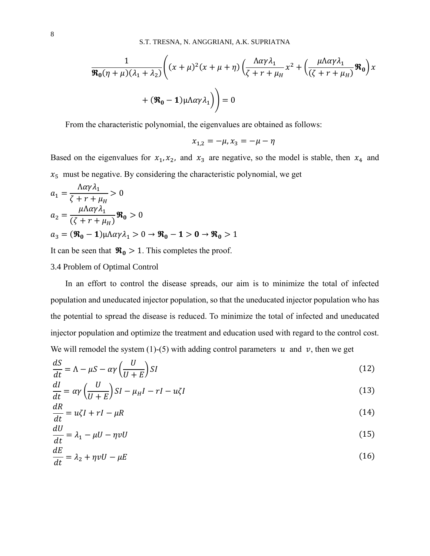$$
\frac{1}{\Re_0(\eta+\mu)(\lambda_1+\lambda_2)} \left( (x+\mu)^2 (x+\mu+\eta) \left( \frac{\Lambda \alpha \gamma \lambda_1}{\zeta+r+\mu_H} x^2 + \left( \frac{\mu \Lambda \alpha \gamma \lambda_1}{(\zeta+r+\mu_H)} \Re_0 \right) x + (\Re_0 - 1) \mu \Lambda \alpha \gamma \lambda_1 \right) \right) = 0
$$

From the characteristic polynomial, the eigenvalues are obtained as follows:

$$
x_{1,2} = -\mu, x_3 = -\mu - \eta
$$

Based on the eigenvalues for  $x_1, x_2$ , and  $x_3$  are negative, so the model is stable, then  $x_4$  and  $x_5$  must be negative. By considering the characteristic polynomial, we get

$$
a_1 = \frac{\Lambda \alpha \gamma \lambda_1}{\zeta + r + \mu_H} > 0
$$
  
\n
$$
a_2 = \frac{\mu \Lambda \alpha \gamma \lambda_1}{(\zeta + r + \mu_H)} \mathbf{R}_0 > 0
$$
  
\n
$$
a_3 = (\mathbf{R}_0 - 1)\mu \Lambda \alpha \gamma \lambda_1 > 0 \to \mathbf{R}_0 - 1 > 0 \to \mathbf{R}_0 > 1
$$

It can be seen that  $\Re_0 > 1$ . This completes the proof.

### 3.4 Problem of Optimal Control

In an effort to control the disease spreads, our aim is to minimize the total of infected population and uneducated injector population, so that the uneducated injector population who has the potential to spread the disease is reduced. To minimize the total of infected and uneducated injector population and optimize the treatment and education used with regard to the control cost. We will remodel the system (1)-(5) with adding control parameters  $u$  and  $v$ , then we get

$$
\frac{dS}{dt} = \Lambda - \mu S - \alpha \gamma \left(\frac{U}{U + E}\right) SI
$$
\n(12)

$$
\frac{dI}{dt} = \alpha \gamma \left(\frac{U}{U+E}\right) SI - \mu_H I - rI - u\zeta I
$$
\n(13)

$$
\frac{dR}{dt} = u\zeta I + rI - \mu R\tag{14}
$$

$$
\frac{dU}{dt} = \lambda_1 - \mu U - \eta v U \tag{15}
$$

$$
\frac{dE}{dt} = \lambda_2 + \eta v U - \mu E \tag{16}
$$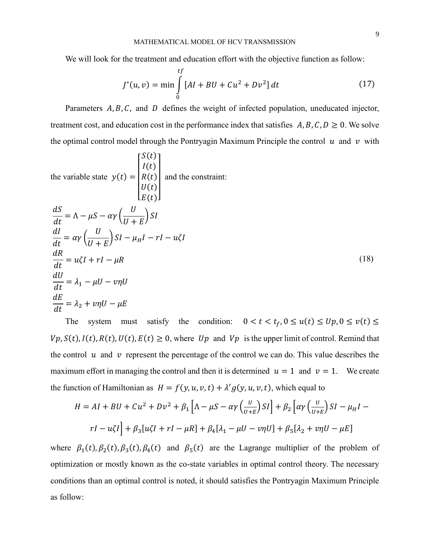We will look for the treatment and education effort with the objective function as follow:

$$
J^*(u, v) = \min \int_{0}^{tf} [Al + BU + Cu^2 + Dv^2] dt
$$
 (17)

Parameters  $A, B, C$ , and  $D$  defines the weight of infected population, uneducated injector, treatment cost, and education cost in the performance index that satisfies  $A, B, C, D \ge 0$ . We solve the optimal control model through the Pontryagin Maximum Principle the control  $u$  and  $v$  with

 $(C()$ 

the variable state 
$$
y(t) = \begin{vmatrix} S(t) \\ I(t) \\ R(t) \\ U(t) \\ E(t) \end{vmatrix}
$$
 and the constraint:  
\n
$$
\frac{dS}{dt} = \Lambda - \mu S - \alpha \gamma \left( \frac{U}{U + E} \right) S I
$$
\n
$$
\frac{dI}{dt} = \alpha \gamma \left( \frac{U}{U + E} \right) S I - \mu_H I - r I - u \zeta I
$$
\n
$$
\frac{dR}{dt} = u \zeta I + r I - \mu R
$$
\n
$$
\frac{dU}{dt} = \lambda_1 - \mu U - v \eta U
$$
\n
$$
\frac{dE}{dt} = \lambda_2 + v \eta U - \mu E
$$
\n(18)

The system must satisfy the condition:  $0 < t < t_f$ ,  $0 \le u(t) \le Up$ ,  $0 \le v(t) \le$  $Vp, S(t), I(t), R(t), U(t), E(t) \ge 0$ , where  $Up$  and  $Vp$  is the upper limit of control. Remind that the control  $u$  and  $v$  represent the percentage of the control we can do. This value describes the maximum effort in managing the control and then it is determined  $u = 1$  and  $v = 1$ . We create the function of Hamiltonian as  $H = f(y, u, v, t) + \lambda' g(y, u, v, t)$ , which equal to

$$
H = AI + BU + Cu2 + Dv2 + \beta_1 \left[ \Lambda - \mu S - \alpha \gamma \left( \frac{U}{U+E} \right) SI \right] + \beta_2 \left[ \alpha \gamma \left( \frac{U}{U+E} \right) SI - \mu_H I - rI - u\zeta I \right] + \beta_3 [u\zeta I + rI - \mu R] + \beta_4 [\lambda_1 - \mu U - v\eta U] + \beta_5 [\lambda_2 + v\eta U - \mu E]
$$

where  $\beta_1(t), \beta_2(t), \beta_3(t), \beta_4(t)$  and  $\beta_5(t)$  are the Lagrange multiplier of the problem of optimization or mostly known as the co-state variables in optimal control theory. The necessary conditions than an optimal control is noted, it should satisfies the Pontryagin Maximum Principle as follow: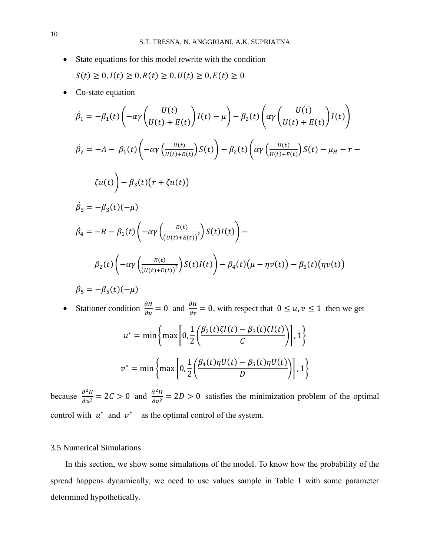- State equations for this model rewrite with the condition  $S(t) \ge 0, I(t) \ge 0, R(t) \ge 0, U(t) \ge 0, E(t) \ge 0$
- Co-state equation

$$
\begin{aligned}\n\dot{\beta}_1 &= -\beta_1(t) \left( -\alpha \gamma \left( \frac{U(t)}{U(t) + E(t)} \right) I(t) - \mu \right) - \beta_2(t) \left( \alpha \gamma \left( \frac{U(t)}{U(t) + E(t)} \right) I(t) \right) \\
\dot{\beta}_2 &= -A - \beta_1(t) \left( -\alpha \gamma \left( \frac{U(t)}{U(t) + E(t)} \right) S(t) \right) - \beta_2(t) \left( \alpha \gamma \left( \frac{U(t)}{U(t) + E(t)} \right) S(t) - \mu_H - r - \right. \\
\left\langle U(t) \right\rangle - \beta_3(t) \left( r + \zeta u(t) \right) \\
\dot{\beta}_3 &= -\beta_3(t) (-\mu) \\
\dot{\beta}_4 &= -B - \beta_1(t) \left( -\alpha \gamma \left( \frac{E(t)}{\left( U(t) + E(t) \right)^2} \right) S(t) I(t) \right) - \\
\beta_2(t) \left( -\alpha \gamma \left( \frac{E(t)}{\left( U(t) + E(t) \right)^2} \right) S(t) I(t) \right) - \beta_4(t) (\mu - \eta v(t)) - \beta_5(t) (\eta v(t)) \\
\dot{\beta}_5 &= -\beta_5(t) (-\mu)\n\end{aligned}
$$

• Stationer condition  $\frac{\partial H}{\partial u} = 0$  and  $\frac{\partial H}{\partial v} = 0$ , with respect that  $0 \le u, v \le 1$  then we get

$$
u^* = \min\left\{\max\left[0, \frac{1}{2}\left(\frac{\beta_2(t)\zeta I(t) - \beta_3(t)\zeta I(t)}{C}\right)\right], 1\right\}
$$

$$
v^* = \min\left\{\max\left[0, \frac{1}{2}\left(\frac{\beta_4(t)\eta U(t) - \beta_5(t)\eta U(t)}{D}\right)\right], 1\right\}
$$

because  $\frac{\partial^2 H}{\partial u^2} = 2C > 0$  and  $\frac{\partial^2 H}{\partial v^2}$  $\frac{\partial u}{\partial v^2} = 2D > 0$  satisfies the minimization problem of the optimal control with  $u^*$  and  $v^*$  as the optimal control of the system.

# 3.5 Numerical Simulations

In this section, we show some simulations of the model. To know how the probability of the spread happens dynamically, we need to use values sample in Table 1 with some parameter determined hypothetically.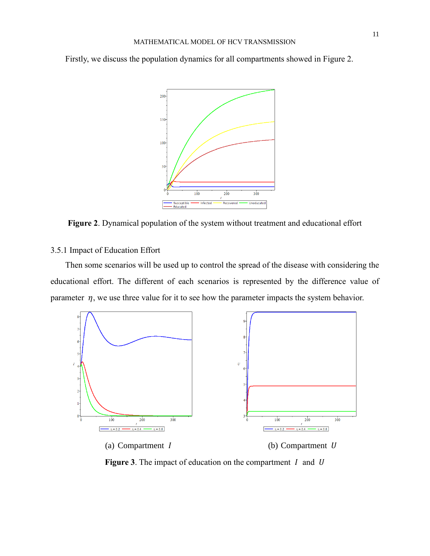Firstly, we discuss the population dynamics for all compartments showed in Figure 2.



**Figure 2**. Dynamical population of the system without treatment and educational effort

# 3.5.1 Impact of Education Effort

Then some scenarios will be used up to control the spread of the disease with considering the educational effort. The different of each scenarios is represented by the difference value of parameter  $\eta$ , we use three value for it to see how the parameter impacts the system behavior.



**Figure 3.** The impact of education on the compartment  $I$  and  $U$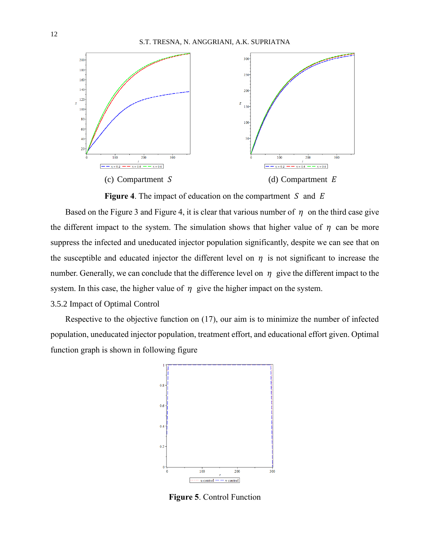

**Figure 4.** The impact of education on the compartment  $S$  and  $E$ 

Based on the Figure 3 and Figure 4, it is clear that various number of  $\eta$  on the third case give the different impact to the system. The simulation shows that higher value of  $\eta$  can be more suppress the infected and uneducated injector population significantly, despite we can see that on the susceptible and educated injector the different level on  $\eta$  is not significant to increase the number. Generally, we can conclude that the difference level on  $\eta$  give the different impact to the system. In this case, the higher value of  $\eta$  give the higher impact on the system.

# 3.5.2 Impact of Optimal Control

Respective to the objective function on (17), our aim is to minimize the number of infected population, uneducated injector population, treatment effort, and educational effort given. Optimal function graph is shown in following figure



**Figure 5**. Control Function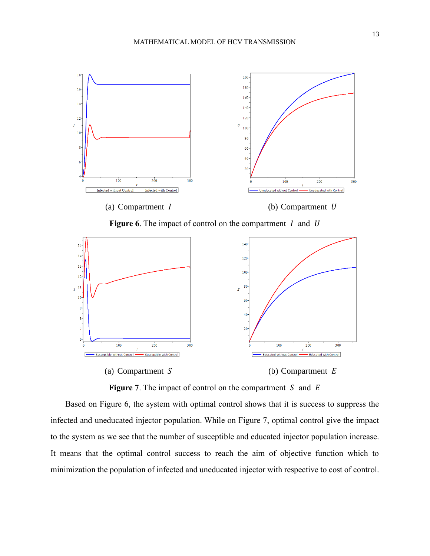

**Figure 6.** The impact of control on the compartment  $I$  and  $U$ 



**Figure 7.** The impact of control on the compartment  $S$  and  $E$ 

Based on Figure 6, the system with optimal control shows that it is success to suppress the infected and uneducated injector population. While on Figure 7, optimal control give the impact to the system as we see that the number of susceptible and educated injector population increase. It means that the optimal control success to reach the aim of objective function which to minimization the population of infected and uneducated injector with respective to cost of control.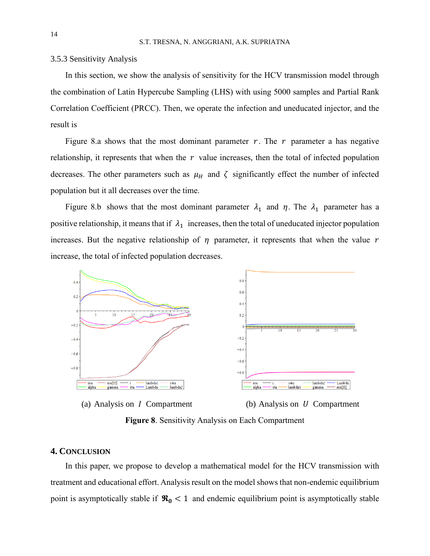#### 3.5.3 Sensitivity Analysis

In this section, we show the analysis of sensitivity for the HCV transmission model through the combination of Latin Hypercube Sampling (LHS) with using 5000 samples and Partial Rank Correlation Coefficient (PRCC). Then, we operate the infection and uneducated injector, and the result is

Figure 8.a shows that the most dominant parameter  $r$ . The  $r$  parameter a has negative relationship, it represents that when the  $r$  value increases, then the total of infected population decreases. The other parameters such as  $\mu_H$  and  $\zeta$  significantly effect the number of infected population but it all decreases over the time.

Figure 8.b shows that the most dominant parameter  $\lambda_1$  and  $\eta$ . The  $\lambda_1$  parameter has a positive relationship, it means that if  $\lambda_1$  increases, then the total of uneducated injector population increases. But the negative relationship of  $\eta$  parameter, it represents that when the value  $r$ increase, the total of infected population decreases.



(a) Analysis on  $I$  Compartment (b) Analysis on  $U$  Compartment

**Figure 8**. Sensitivity Analysis on Each Compartment

# **4. CONCLUSION**

In this paper, we propose to develop a mathematical model for the HCV transmission with treatment and educational effort. Analysis result on the model shows that non-endemic equilibrium point is asymptotically stable if  $\Re_0 < 1$  and endemic equilibrium point is asymptotically stable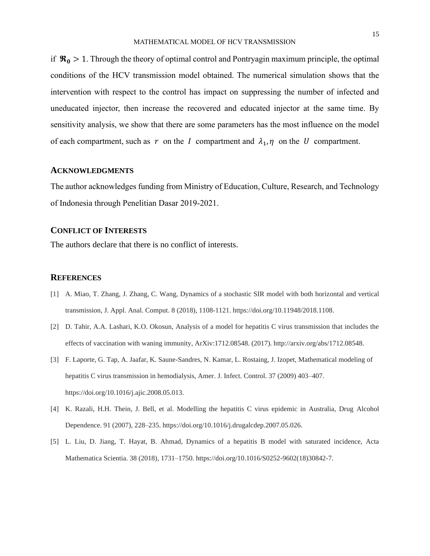if  $\mathcal{R}_0 > 1$ . Through the theory of optimal control and Pontryagin maximum principle, the optimal conditions of the HCV transmission model obtained. The numerical simulation shows that the intervention with respect to the control has impact on suppressing the number of infected and uneducated injector, then increase the recovered and educated injector at the same time. By sensitivity analysis, we show that there are some parameters has the most influence on the model of each compartment, such as  $r$  on the  $I$  compartment and  $\lambda_1$ ,  $\eta$  on the  $U$  compartment.

### **ACKNOWLEDGMENTS**

The author acknowledges funding from Ministry of Education, Culture, Research, and Technology of Indonesia through Penelitian Dasar 2019-2021.

# **CONFLICT OF INTERESTS**

The authors declare that there is no conflict of interests.

#### **REFERENCES**

- [1] A. Miao, T. Zhang, J. Zhang, C. Wang, Dynamics of a stochastic SIR model with both horizontal and vertical transmission, J. Appl. Anal. Comput. 8 (2018), 1108-1121. https://doi.org/10.11948/2018.1108.
- [2] D. Tahir, A.A. Lashari, K.O. Okosun, Analysis of a model for hepatitis C virus transmission that includes the effects of vaccination with waning immunity, ArXiv:1712.08548. (2017). http://arxiv.org/abs/1712.08548.
- [3] F. Laporte, G. Tap, A. Jaafar, K. Saune-Sandres, N. Kamar, L. Rostaing, J. Izopet, Mathematical modeling of hepatitis C virus transmission in hemodialysis, Amer. J. Infect. Control. 37 (2009) 403–407. https://doi.org/10.1016/j.ajic.2008.05.013.
- [4] K. Razali, H.H. Thein, J. Bell, et al. Modelling the hepatitis C virus epidemic in Australia, Drug Alcohol Dependence. 91 (2007), 228–235. https://doi.org/10.1016/j.drugalcdep.2007.05.026.
- [5] L. Liu, D. Jiang, T. Hayat, B. Ahmad, Dynamics of a hepatitis B model with saturated incidence, Acta Mathematica Scientia. 38 (2018), 1731–1750. https://doi.org/10.1016/S0252-9602(18)30842-7.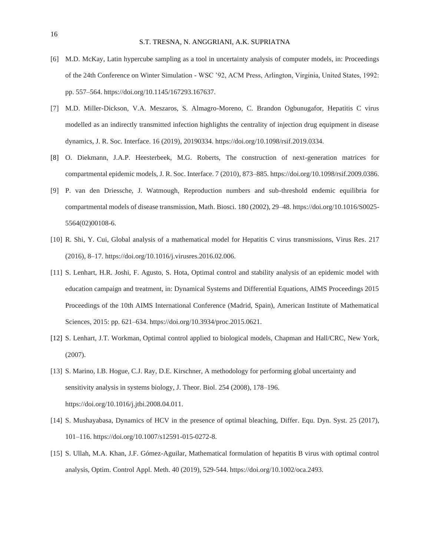- [6] M.D. McKay, Latin hypercube sampling as a tool in uncertainty analysis of computer models, in: Proceedings of the 24th Conference on Winter Simulation - WSC '92, ACM Press, Arlington, Virginia, United States, 1992: pp. 557–564. https://doi.org/10.1145/167293.167637.
- [7] M.D. Miller-Dickson, V.A. Meszaros, S. Almagro-Moreno, C. Brandon Ogbunugafor, Hepatitis C virus modelled as an indirectly transmitted infection highlights the centrality of injection drug equipment in disease dynamics, J. R. Soc. Interface. 16 (2019), 20190334. https://doi.org/10.1098/rsif.2019.0334.
- [8] O. Diekmann, J.A.P. Heesterbeek, M.G. Roberts, The construction of next-generation matrices for compartmental epidemic models, J. R. Soc. Interface. 7 (2010), 873–885. https://doi.org/10.1098/rsif.2009.0386.
- [9] P. van den Driessche, J. Watmough, Reproduction numbers and sub-threshold endemic equilibria for compartmental models of disease transmission, Math. Biosci. 180 (2002), 29–48. https://doi.org/10.1016/S0025- 5564(02)00108-6.
- [10] R. Shi, Y. Cui, Global analysis of a mathematical model for Hepatitis C virus transmissions, Virus Res. 217 (2016), 8–17. https://doi.org/10.1016/j.virusres.2016.02.006.
- [11] S. Lenhart, H.R. Joshi, F. Agusto, S. Hota, Optimal control and stability analysis of an epidemic model with education campaign and treatment, in: Dynamical Systems and Differential Equations, AIMS Proceedings 2015 Proceedings of the 10th AIMS International Conference (Madrid, Spain), American Institute of Mathematical Sciences, 2015: pp. 621–634. https://doi.org/10.3934/proc.2015.0621.
- [12] S. Lenhart, J.T. Workman, Optimal control applied to biological models, Chapman and Hall/CRC, New York, (2007).
- [13] S. Marino, I.B. Hogue, C.J. Ray, D.E. Kirschner, A methodology for performing global uncertainty and sensitivity analysis in systems biology, J. Theor. Biol. 254 (2008), 178–196. https://doi.org/10.1016/j.jtbi.2008.04.011.
- [14] S. Mushayabasa, Dynamics of HCV in the presence of optimal bleaching, Differ. Equ. Dyn. Syst. 25 (2017), 101–116. https://doi.org/10.1007/s12591-015-0272-8.
- [15] S. Ullah, M.A. Khan, J.F. Gómez-Aguilar, Mathematical formulation of hepatitis B virus with optimal control analysis, Optim. Control Appl. Meth. 40 (2019), 529-544. https://doi.org/10.1002/oca.2493.